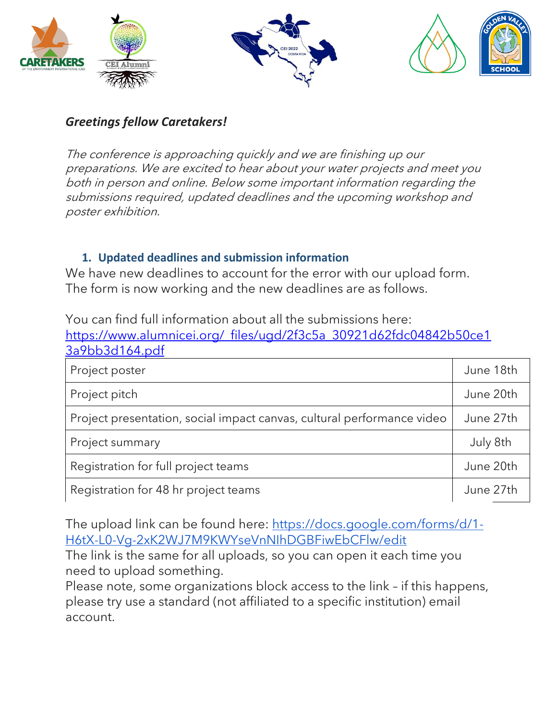





#### *Greetings fellow Caretakers!*

The conference is approaching quickly and we are finishing up our preparations. We are excited to hear about your water projects and meet you both in person and online. Below some important information regarding the submissions required, updated deadlines and the upcoming workshop and poster exhibition.

#### **1. Updated deadlines and submission information**

We have new deadlines to account for the error with our upload form. The form is now working and the new deadlines are as follows.

| You can find full information about all the submissions here:          |           |
|------------------------------------------------------------------------|-----------|
| https://www.alumnicei.org/ files/ugd/2f3c5a 30921d62fdc04842b50ce1     |           |
| 3a9bb3d164.pdf                                                         |           |
| Project poster                                                         | June 18th |
| Project pitch                                                          | June 20th |
| Project presentation, social impact canvas, cultural performance video | June 27th |
| Project summary                                                        | July 8th  |
| Registration for full project teams                                    | June 20th |
| Registration for 48 hr project teams                                   | June 27th |

You can find full information about all the submissions here:

The upload link can be found here: [https://docs.google.com/forms/d/1-](https://docs.google.com/forms/d/1-H6tX-L0-Vg-2xK2WJ7M9KWYseVnNIhDGBFiwEbCFlw/edit) [H6tX-L0-Vg-2xK2WJ7M9KWYseVnNIhDGBFiwEbCFlw/edit](https://docs.google.com/forms/d/1-H6tX-L0-Vg-2xK2WJ7M9KWYseVnNIhDGBFiwEbCFlw/edit)

The link is the same for all uploads, so you can open it each time you need to upload something.

Please note, some organizations block access to the link – if this happens, please try use a standard (not affiliated to a specific institution) email account.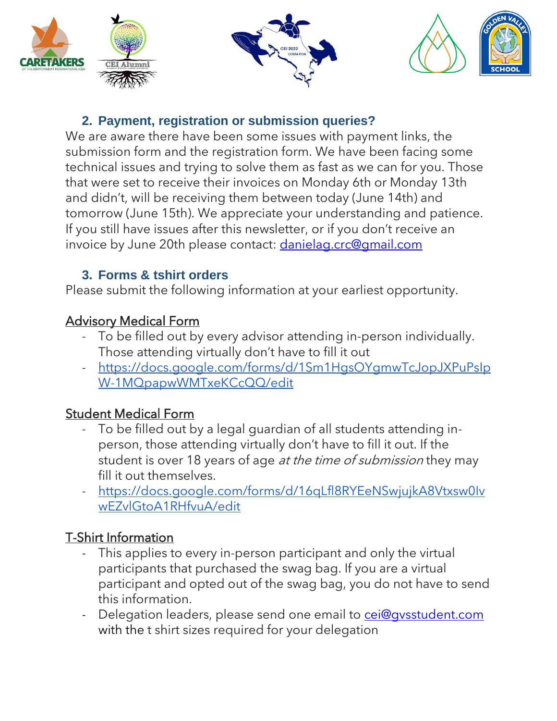





## **2. Payment, registration or submission queries?**

We are aware there have been some issues with payment links, the submission form and the registration form. We have been facing some technical issues and trying to solve them as fast as we can for you. Those that were set to receive their invoices on Monday 6th or Monday 13th and didn't, will be receiving them between today (June 14th) and tomorrow (June 15th). We appreciate your understanding and patience. If you still have issues after this newsletter, or if you don't receive an invoice by June 20th please contact: [danielag.crc@gmail.com](mailto:danielag.crc@gmail.com)

# **3. Forms & tshirt orders**

Please submit the following information at your earliest opportunity.

# Advisory Medical Form

- To be filled out by every advisor attending in-person individually. Those attending virtually don't have to fill it out
- [https://docs.google.com/forms/d/1Sm1HgsOYgmwTcJopJXPuPsIp](https://docs.google.com/forms/d/1Sm1HgsOYgmwTcJopJXPuPsIpW-1MQpapwWMTxeKCcQQ/edit) [W-1MQpapwWMTxeKCcQQ/edit](https://docs.google.com/forms/d/1Sm1HgsOYgmwTcJopJXPuPsIpW-1MQpapwWMTxeKCcQQ/edit)

# Student Medical Form

- To be filled out by a legal guardian of all students attending inperson, those attending virtually don't have to fill it out. If the student is over 18 years of age *at the time of submission* they may fill it out themselves.
- [https://docs.google.com/forms/d/16qLfl8RYEeNSwjujkA8Vtxsw0Iv](https://docs.google.com/forms/d/16qLfl8RYEeNSwjujkA8Vtxsw0IvwEZvlGtoA1RHfvuA/edit) [wEZvlGtoA1RHfvuA/edit](https://docs.google.com/forms/d/16qLfl8RYEeNSwjujkA8Vtxsw0IvwEZvlGtoA1RHfvuA/edit)

# T-Shirt Information

- This applies to every in-person participant and only the virtual participants that purchased the swag bag. If you are a virtual participant and opted out of the swag bag, you do not have to send this information.
- Delegation leaders, please send one email to cei@qysstudent.com with the t shirt sizes required for your delegation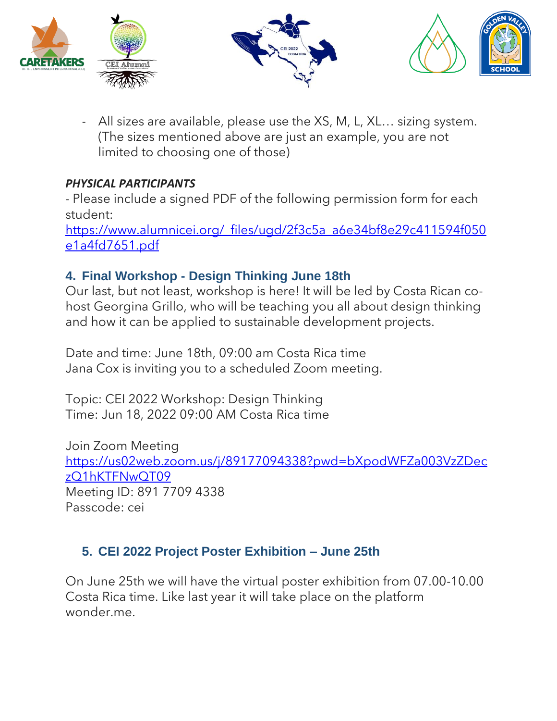





- All sizes are available, please use the XS, M, L, XL… sizing system. (The sizes mentioned above are just an example, you are not limited to choosing one of those)

#### *PHYSICAL PARTICIPANTS*

- Please include a signed PDF of the following permission form for each student:

[https://www.alumnicei.org/\\_files/ugd/2f3c5a\\_a6e34bf8e29c411594f050](https://www.alumnicei.org/_files/ugd/2f3c5a_a6e34bf8e29c411594f050e1a4fd7651.pdf) [e1a4fd7651.pdf](https://www.alumnicei.org/_files/ugd/2f3c5a_a6e34bf8e29c411594f050e1a4fd7651.pdf)

## **4. Final Workshop - Design Thinking June 18th**

Our last, but not least, workshop is here! It will be led by Costa Rican cohost Georgina Grillo, who will be teaching you all about design thinking and how it can be applied to sustainable development projects.

Date and time: June 18th, 09:00 am Costa Rica time Jana Cox is inviting you to a scheduled Zoom meeting.

Topic: CEI 2022 Workshop: Design Thinking Time: Jun 18, 2022 09:00 AM Costa Rica time

Join Zoom Meeting [https://us02web.zoom.us/j/89177094338?pwd=bXpodWFZa003VzZDec](https://us02web.zoom.us/j/89177094338?pwd=bXpodWFZa003VzZDeczQ1hKTFNwQT09) [zQ1hKTFNwQT09](https://us02web.zoom.us/j/89177094338?pwd=bXpodWFZa003VzZDeczQ1hKTFNwQT09) Meeting ID: 891 7709 4338 Passcode: cei

## **5. CEI 2022 Project Poster Exhibition – June 25th**

On June 25th we will have the virtual poster exhibition from 07.00-10.00 Costa Rica time. Like last year it will take place on the platform wonder.me.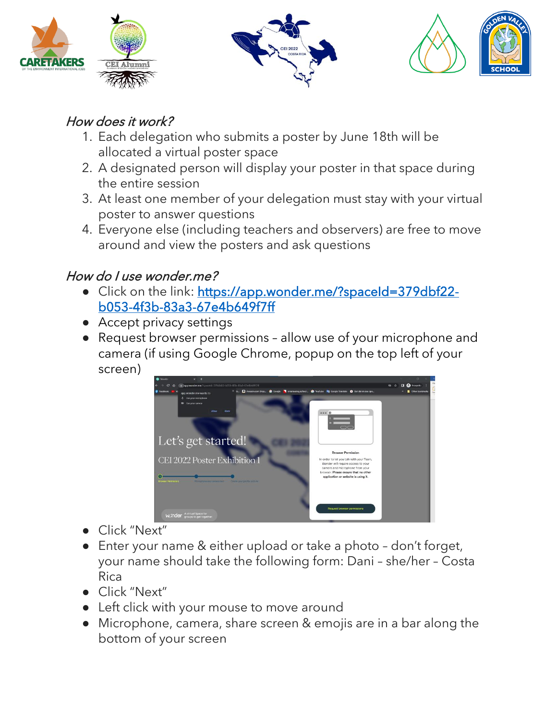





# How does it work?

- 1. Each delegation who submits a poster by June 18th will be allocated a virtual poster space
- 2. A designated person will display your poster in that space during the entire session
- 3. At least one member of your delegation must stay with your virtual poster to answer questions
- 4. Everyone else (including teachers and observers) are free to move around and view the posters and ask questions

# How do I use wonder.me?

- Click on the link: [https://app.wonder.me/?spaceId=379dbf22](https://app.wonder.me/?spaceId=379dbf22-b053-4f3b-83a3-67e4b649f7ff) [b053-4f3b-83a3-67e4b649f7ff](https://app.wonder.me/?spaceId=379dbf22-b053-4f3b-83a3-67e4b649f7ff)
- Accept privacy settings
- Request browser permissions allow use of your microphone and camera (if using Google Chrome, popup on the top left of your screen)



- Click "Next"
- Enter your name & either upload or take a photo don't forget, your name should take the following form: Dani – she/her – Costa Rica
- Click "Next"
- Left click with your mouse to move around
- Microphone, camera, share screen & emojis are in a bar along the bottom of your screen